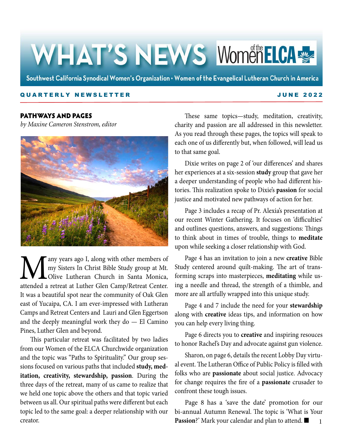# WHAT'S NEWS WomenELCA

Southwest California Synodical Women's Organization . Women of the Evangelical Lutheran Church in America

#### QUARTERLY NEWSLETTER JUNE 2022

#### PATHWAYS AND PAGES

*by Maxine Cameron Stenstrom, editor*



Many years ago I, along with other members of<br>my Sisters In Christ Bible Study group at Mt.<br>Olive Lutheran Church in Santa Monica,<br>attended a retreat at Luther Glen Camp/Retreat Center. my Sisters In Christ Bible Study group at Mt. Olive Lutheran Church in Santa Monica, attended a retreat at Luther Glen Camp/Retreat Center. It was a beautiful spot near the community of Oak Glen east of Yucaipa, CA. I am ever-impressed with Lutheran Camps and Retreat Centers and Lauri and Glen Eggertson and the deeply meaningful work they  $do$  — El Camino Pines, Luther Glen and beyond.

This particular retreat was facilitated by two ladies from our Women of the ELCA Churchwide organization and the topic was "Paths to Spirituality." Our group sessions focused on various paths that included **study, meditation, creativity, stewardship, passion**. During the three days of the retreat, many of us came to realize that we held one topic above the others and that topic varied between us all. Our spiritual paths were different but each topic led to the same goal: a deeper relationship with our creator.

These same topics—study, meditation, creativity, charity and passion are all addressed in this newsletter. As you read through these pages, the topics will speak to each one of us differently but, when followed, will lead us to that same goal.

Dixie writes on page 2 of 'our differences' and shares her experiences at a six-session **study** group that gave her a deeper understanding of people who had different histories. This realization spoke to Dixie's **passion** for social justice and motivated new pathways of action for her.

Page 3 includes a recap of Pr. Alexia's presentation at our recent Winter Gathering. It focuses on 'difficulties' and outlines questions, answers, and suggestions: Things to think about in times of trouble, things to **meditate** upon while seeking a closer relationship with God.

Page 4 has an invitation to join a new **creative** Bible Study centered around quilt-making. The art of transforming scraps into masterpieces, **meditating** while using a needle and thread, the strength of a thimble, and more are all artfully wrapped into this unique study.

Page 4 and 7 include the need for your **stewardship**  along with **creative** ideas tips, and information on how you can help every living thing.

Page 6 directs you to **creative** and inspiring resouces to honor Rachel's Day and advocate against gun violence.

Sharon, on page 6, details the recent Lobby Day virtual event. The Lutheran Office of Public Policy is filled with folks who are **passionate** about social justice. Advocacy for change requires the fire of a **passionate** crusader to confront these tough issues.

Page 8 has a 'save the date' promotion for our bi-annual Autumn Renewal. The topic is 'What is Your **Passion**?' Mark your calendar and plan to attend.  $\blacksquare$  1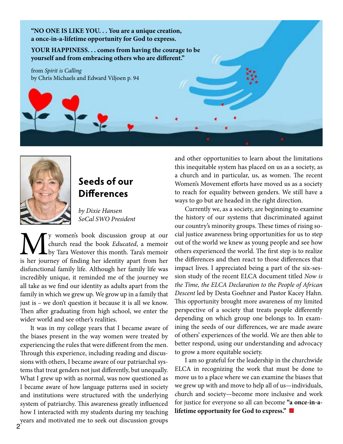**"NO ONE IS LIKE YOU. . . You are a unique creation, a once-in-a-lifetime opportunity for God to express.** 

**YOUR HAPPINESS. . . comes from having the courage to be yourself and from embracing others who are different."** 

from *Spirit is Calling* by Chris Michaels and Edward Viljoen p. 94



## **Seeds of our Differences**

*by Dixie Hansen SoCal SWO President*

We women's book discussion group at our<br>church read the book *Educated*, a memoir<br>is her journey of finding her identity apart from her church read the book *Educated*, a memoir by Tara Westover this month. Tara's memoir is her journey of finding her identity apart from her disfunctional family life. Although her family life was incredibly unique, it reminded me of the journey we all take as we find our identity as adults apart from the family in which we grew up. We grow up in a family that just is – we don't question it because it is all we know. Then after graduating from high school, we enter the wider world and see other's realities.

It was in my college years that I became aware of the biases present in the way women were treated by experiencing the rules that were different from the men. Through this experience, including reading and discussions with others, I became aware of our patriarchal systems that treat genders not just differently, but unequally. What I grew up with as normal, was now questioned as I became aware of how language patterns used in society and institutions were structured with the underlying system of patriarchy. This awareness greatly influenced how I interacted with my students during my teaching years and motivated me to seek out discussion groups and other opportunities to learn about the limitations this inequitable system has placed on us as a society, as a church and in particular, us, as women. The recent Women's Movement efforts have moved us as a society to reach for equality between genders. We still have a ways to go but are headed in the right direction.

Currently we, as a society, are beginning to examine the history of our systems that discriminated against our country's minority groups. These times of rising social justice awareness bring opportunities for us to step out of the world we knew as young people and see how others experienced the world. The first step is to realize the differences and then react to those differences that impact lives. I appreciated being a part of the six-session study of the recent ELCA document titled *Now is the Time, the ELCA Declaration to the People of African Descent* led by Desta Goehner and Pastor Kacey Hahn. This opportunity brought more awareness of my limited perspective of a society that treats people differently depending on which group one belongs to. In examining the seeds of our differences, we are made aware of others' experiences of the world. We are then able to better respond, using our understanding and advocacy to grow a more equitable society.

I am so grateful for the leadership in the churchwide ELCA in recognizing the work that must be done to move us to a place where we can examine the biases that we grew up with and move to help all of us—individuals, church and society—become more inclusive and work for justice for everyone so all can become **"a once-in-alifetime opportunity for God to express."** n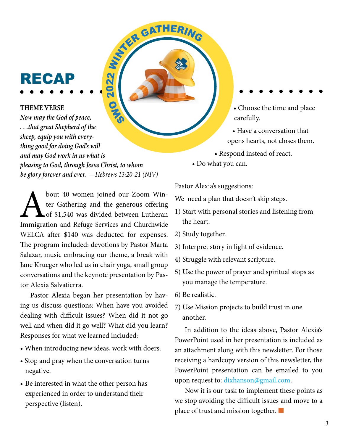## RECA

#### **THEME VERSE**

*Now may the God of peace, . . .that great Shepherd of the sheep, equip you with everything good for doing God's will and may God work in us what is pleasing to God, through Jesus Christ, to whom be glory forever and ever. —Hebrews 13:20-21 (NIV)* SWO

2 0  $\mathbf{\Omega}$  ${\bf N}$ 

STATHERING

bout 40 women joined our Zoom Winter Gathering and the generous offering<br>Lof \$1,540 was divided between Lutheran<br>Immigration and Refuge Services and Churchwide ter Gathering and the generous offering of \$1,540 was divided between Lutheran Immigration and Refuge Services and Churchwide WELCA after \$140 was deducted for expenses. The program included: devotions by Pastor Marta Salazar, music embracing our theme, a break with Jane Krueger who led us in chair yoga, small group conversations and the keynote presentation by Pastor Alexia Salvatierra.

Pastor Alexia began her presentation by having us discuss questions: When have you avoided dealing with difficult issues? When did it not go well and when did it go well? What did you learn? Responses for what we learned included:

- When introducing new ideas, work with doers.
- Stop and pray when the conversation turns negative.
- Be interested in what the other person has experienced in order to understand their perspective (listen).

- Choose the time and place carefully.
- Have a conversation that opens hearts, not closes them.
- Respond instead of react.
- Do what you can.

Pastor Alexia's suggestions:

We need a plan that doesn't skip steps.

- 1) Start with personal stories and listening from the heart.
- 2) Study together.
- 3) Interpret story in light of evidence.
- 4) Struggle with relevant scripture.
- 5) Use the power of prayer and spiritual stops as you manage the temperature.
- 6) Be realistic.
- 7) Use Mission projects to build trust in one another.

In addition to the ideas above, Pastor Alexia's PowerPoint used in her presentation is included as an attachment along with this newsletter. For those receiving a hardcopy version of this newsletter, the PowerPoint presentation can be emailed to you upon request to: dixhanson@gmail.com.

Now it is our task to implement these points as we stop avoiding the difficult issues and move to a place of trust and mission together.  $\Box$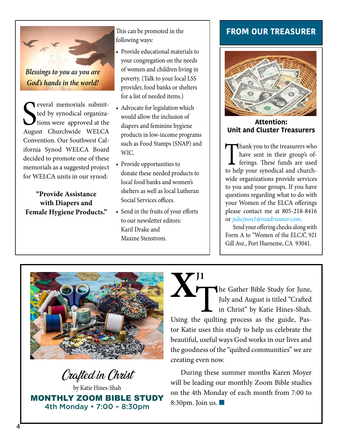

*Blessings to you as you are God's hands in the world!*

Submitted by synodical organizations were approved at the August Churchwide WELCA everal memorials submitted by synodical organizations were approved at the Convention. Our Southwest California Synod WELCA Board decided to promote one of these memorials as a suggested project for WELCA units in our synod:

**"Provide Assistance with Diapers and Female Hygiene Products."** This can be promoted in the following ways:

- Provide educational materials to your congregation on the needs of women and children living in poverty. (Talk to your local LSS provider, food banks or shelters for a list of needed items.)
- Advocate for legislation which would allow the inclusion of diapers and feminine hygiene products in low-income programs such as Food Stamps (SNAP) and WIC.
- Provide opportunities to donate these needed products to local food banks and women's shelters as well as local Lutheran Social Services offices.
- Send in the fruits of your efforts to our newsletter editors: Karil Drake and Maxine Stenstrom.

#### **FROM OUR TREASURER**



**Attention: Unit and Cluster Treasurers**

Thank you to the treasurers who<br>have sent in their group's of-<br>ferings. These funds are used<br>to belp your synodical and church have sent in their group's offerings. These funds are used to help your synodical and churchwide organizations provide services to you and your groups. If you have questions regarding what to do with your Women of the ELCA offerings please contact me at 805-218-8416 or *juliejnsn1@roadrunner.com*.

Send your offering checks along with Form A to "Women of the ELCA", 921 Gill Ave., Port Hueneme, CA 93041.



Crafted in Christ

by Katie Hines-Shah MONTHLY ZOOM BIBLE STUDY 4th Monday • 7:00 – 8:30pm

 $\mathbf{X}^{\text{II}}$ The Gather Bible Study for June, July and August is titled "Crafted in Christ" by Katie Hines-Shah. Using the quilting process as the guide, Pastor Katie uses this study to help us celebrate the beautiful, useful ways God works in our lives and the goodness of the "quilted communities" we are creating even now.

During these summer months Karen Moyer will be leading our monthly Zoom Bible studies on the 4th Monday of each month from 7:00 to 8:30pm. Join us.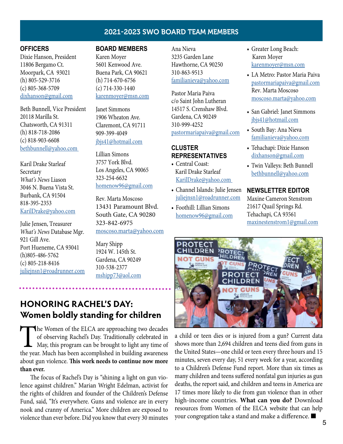#### 2021-2023 SWO BOARD TEAM MEMBERS

#### **OFFICERS**

Dixie Hanson, President 11806 Bergamo Ct. Moorpark, CA 93021 (h) 805-529-3716 (c) 805-368-5709 [dixhanson@gmail.com](mailto:dixhanson%40gmail.com?subject=)

Beth Bunnell, Vice President 20118 Marilla St. Chatsworth, CA 91311 (h) 818-718-2086 (c) 818-903-6608 bethbunnell@yahoo.com

Karil Drake Starleaf Secretary *What's News* Liason 3046 N. Buena Vista St. Burbank, CA 91504 818-395-2353 KarilDrake@yahoo.com

Julie Jensen, Treasurer *What's News* Database Mgr. 921 Gill Ave. Port Hueneme, CA 93041 (h)805-486-5762 (c) 805-218-8416 juliejnsn1@roadrunner.com

#### **BOARD MEMBERS**

Karen Moyer 5601 Kenwood Ave. Buena Park, CA 90621 (h) 714-670-6756 (c) 714-330-1440 karenmoyer@msn.com

Janet Simmons 1906 Wheaton Ave. Claremont, CA 91711 909-399-4049 [jbjs41@hotmail.com](mailto:jbjs41%40hotmail.com%20%20%20%20%20?subject=)

Lillian Simons 3757 York Blvd. Los Angeles, CA 90065 323-254-6632 homenow96@gmail.com

Rev. Marta Moscoso 13431 Paramount Blvd. South Gate, CA 90280 323-842-6975 moscoso.marta@yahoo.com

Mary Shipp 1924 W. 145th St. Gardena, CA 90249 310-538-2377 mshipp73@aol.com Ana Nieva 3235 Garden Lane Hawthorne, CA 90250 310-863-9513 familianieva@yahoo.com

Pastor Maria Paiva c/o Saint John Lutheran 14517 S. Crenshaw Blvd. Gardena, CA 90249 310-999-4252 pastormariapaiva@gmail.com

#### **CLUSTER REPRESENTATIVES**

- Central Coast: Karil Drake Starleaf KarilDrake@yahoo.com
- Channel Islands: Julie Jensen juliejnsn1@roadrunner.com
- Foothill: Lillian Simons homenow96@gmail.com
- Greater Long Beach: Karen Moyer karenmoyer@msn.com
- LA Metro: Pastor Maria Paiva pastormariapaiva@gmail.com Rev. Marta Moscoso moscoso.marta@yahoo.com
- San Gabriel: Janet Simmons jbjs41@hotmail.com
- South Bay: Ana Nieva familianieva@yahoo.com
- Tehachapi: Dixie Hanson dixhanson@gmail.com
- Twin Valleys: Beth Bunnell bethbunnell@yahoo.com

#### **NEWSLETTER EDITOR**

Maxine Cameron Stenstrom 21617 Quail Springs Rd. Tehachapi, CA 93561 maxinestenstrom1@gmail.com



a child or teen dies or is injured from a gun? Current data shows more than 2,694 children and teens died from guns in the United States—one child or teen every three hours and 15 minutes, seven every day, 51 every week for a year, according to a Children's Defense Fund report. More than six times as many children and teens suffered nonfatal gun injuries as gun deaths, the report said, and children and teens in America are 17 times more likely to die from gun violence than in other high-income countries. **What can you do?** Download resources from Women of the ELCA website that can help your congregation take a stand and make a difference.  $\blacksquare$ 

### **HONORING RACHEL'S DAY: Women boldly standing for children**

The Women of the ELCA are approaching two decades<br>of observing Rachel's Day. Traditionally celebrated in<br>May, this program can be brought to light any time of<br>the year. Much has been accomplished in building awareness of observing Rachel's Day. Traditionally celebrated in May, this program can be brought to light any time of the year. Much has been accomplished in building awareness about gun violence. **This work needs to continue now more than ever.** 

The focus of Rachel's Day is "shining a light on gun violence against children." Marian Wright Edelman, activist for the rights of children and founder of the Children's Defense Fund, said, "It's everywhere. Guns and violence are in every nook and cranny of America." More children are exposed to violence than ever before. Did you know that every 30 minutes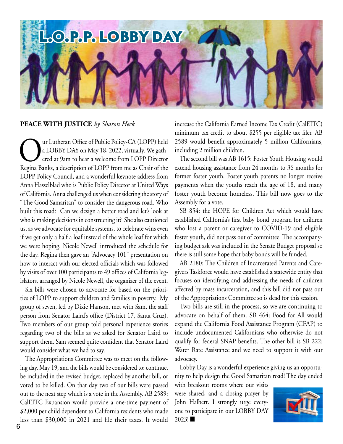

#### **PEACE WITH JUSTICE** *by Sharon Heck*

Our Lutheran Office of Public Policy-CA (LOPP) held<br>a LOBBY DAY on May 18, 2022, virtually. We gathered at 9am to hear a welcome from LOPP Director<br>Regina Banks a description of LOPP from me as Chair of the a LOBBY DAY on May 18, 2022, virtually. We gathered at 9am to hear a welcome from LOPP Director Regina Banks, a description of LOPP from me as Chair of the LOPP Policy Council, and a wonderful keynote address from Anna Hasselblad who is Public Policy Director at United Ways of California. Anna challenged us when considering the story of "The Good Samaritan" to consider the dangerous road. Who built this road? Can we design a better road and let's look at who is making decisions in constructing it? She also cautioned us, as we advocate for equitable systems, to celebrate wins even if we get only a half a loaf instead of the whole loaf for which we were hoping. Nicole Newell introduced the schedule for the day. Regina then gave an "Advocacy 101" presentation on how to interact with our elected officials which was followed by visits of over 100 participants to 49 offices of California legislators, arranged by Nicole Newell, the organizer of the event.

Six bills were chosen to advocate for based on the priorities of LOPP to support children and families in poverty. My group of seven, led by Dixie Hanson, met with Sam, the staff person from Senator Laird's office (District 17, Santa Cruz). Two members of our group told personal experience stories regarding two of the bills as we asked for Senator Laird to support them. Sam seemed quite confident that Senator Laird would consider what we had to say.

The Appropriations Committee was to meet on the following day, May 19, and the bills would be considered to: continue, be included in the revised budget, replaced by another bill, or voted to be killed. On that day two of our bills were passed out to the next step which is a vote in the Assembly. AB 2589: CalEITC Expansion would provide a one-time payment of \$2,000 per child dependent to California residents who made less than \$30,000 in 2021 and file their taxes. It would

increase the California Earned Income Tax Credit (CalEITC) minimum tax credit to about \$255 per eligible tax filer. AB 2589 would benefit approximately 5 million Californians, including 2 million children.

The second bill was AB 1615: Foster Youth Housing would extend housing assistance from 24 months to 36 months for former foster youth. Foster youth parents no longer receive payments when the youths reach the age of 18, and many foster youth become homeless. This bill now goes to the Assembly for a vote.

SB 854: the HOPE for Children Act which would have established California's first baby bond program for children who lost a parent or caregiver to COVID-19 and eligible foster youth, did not pass out of committee. The accompanying budget ask was included in the Senate Budget proposal so there is still some hope that baby bonds will be funded.

AB 2180: The Children of Incarcerated Parents and Caregivers Taskforce would have established a statewide entity that focuses on identifying and addressing the needs of children affected by mass incarceration, and this bill did not pass out of the Appropriations Committee so is dead for this session.

Two bills are still in the process, so we are continuing to advocate on behalf of them. SB 464: Food for All would expand the California Food Assistance Program (CFAP) to include undocumented Californians who otherwise do not qualify for federal SNAP benefits. The other bill is SB 222: Water Rate Assistance and we need to support it with our advocacy.

Lobby Day is a wonderful experience giving us an opportunity to help design the Good Samaritan road! The day ended

with breakout rooms where our visits were shared, and a closing prayer by John Halbert. I strongly urge everyone to participate in our LOBBY DAY  $2023!$ 

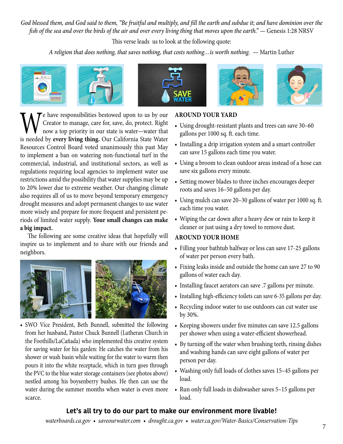*God blessed them, and God said to them, "Be fruitful and multiply, and fill the earth and subdue it; and have dominion over the*  fish of the sea and over the birds of the air and over every living thing that moves upon the earth." — Genesis 1:28 NRSV

This verse leads us to look at the following quote:

*A religion that does nothing, that saves nothing, that costs nothing…is worth nothing.* — Martin Luther











We have responsibilities bestowed upon to us by our<br>Creator to manage, care for, save, do, protect. Right<br>now a top priority in our state is water—water that<br>is needed by every living thing. Our California State Water Creator to manage, care for, save, do, protect. Right now a top priority in our state is water—water that is needed by **every living thing.** Our California State Water Resources Control Board voted unanimously this past May to implement a ban on watering non-functional turf in the commercial, industrial, and institutional sectors, as well as regulations requiring local agencies to implement water use restrictions amid the possibility that water supplies may be up to 20% lower due to extreme weather. Our changing climate also requires all of us to move beyond temporary emergency drought measures and adopt permanent changes to use water more wisely and prepare for more frequent and persistent periods of limited water supply. **Your small changes can make a big impact.**

The following are some creative ideas that hopefully will inspire us to implement and to share with our friends and neighbors.



• SWO Vice President, Beth Bunnell, submitted the following from her husband, Pastor Chuck Bunnell (Lutheran Church in the Foothills/LaCañada) who implemented this creative system for saving water for his garden: He catches the water from his shower or wash basin while waiting for the water to warm then pours it into the white receptacle, which in turn goes through the PVC to the blue water storage containers (see photos above) nestled among his boysenberry bushes. He then can use the water during the summer months when water is even more scarce.

#### **AROUND YOUR YARD**

- Using drought-resistant plants and trees can save 30–60 gallons per 1000 sq. ft. each time.
- Installing a drip irrigation system and a smart controller can save 15 gallons each time you water.
- Using a broom to clean outdoor areas instead of a hose can save six gallons every minute.
- Setting mower blades to three inches encourages deeper roots and saves 16–50 gallons per day.
- Using mulch can save 20–30 gallons of water per 1000 sq. ft. each time you water.
- Wiping the car down after a heavy dew or rain to keep it cleaner or just using a dry towel to remove dust.

#### **AROUND YOUR HOME**

- Filling your bathtub halfway or less can save 17-25 gallons of water per person every bath.
- Fixing leaks inside and outside the home can save 27 to 90 gallons of water each day.
- Installing faucet aerators can save .7 gallons per minute.
- Installing high-efficiency toilets can save 6-35 gallons per day.
- Recycling indoor water to use outdoors can cut water use by 30%.
- Keeping showers under five minutes can save 12.5 gallons per shower when using a water-efficient showerhead.
- By turning off the water when brushing teeth, rinsing dishes and washing hands can save eight gallons of water per person per day.
- Washing only full loads of clothes saves 15–45 gallons per load.
- Run only full loads in dishwasher saves 5–15 gallons per load.

#### **Let's all try to do our part to make our environment more livable!**

*waterboards.ca.gov • saveourwater.com • drought.ca.gov • water.ca.gov/Water-Basics/Conservation-Tips*